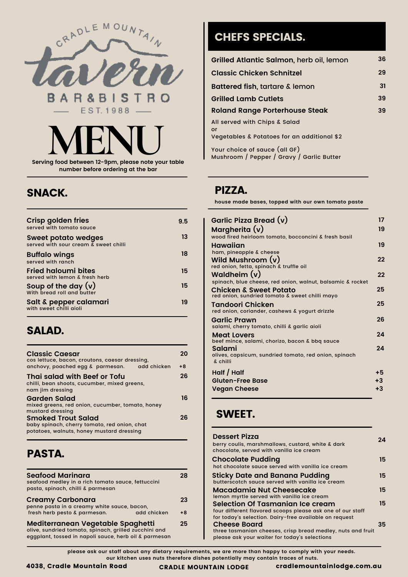

**number before ordering at the bar**

#### SNACK.

| <b>Crisp golden fries</b><br>served with tomato sauce               | 9.5 |
|---------------------------------------------------------------------|-----|
| <b>Sweet potato wedges</b><br>served with sour cream & sweet chilli | 13  |
| <b>Buffalo wings</b><br>served with ranch                           | 18  |
| <b>Fried haloumi bites</b><br>served with lemon & fresh herb        | 15. |
| Soup of the day $(v)$<br>With bread roll and butter                 | 15  |
| Salt & pepper calamari<br>with sweet chilli gioli                   | 19  |

#### SALAD.

| <b>Classic Caesar</b><br>cos lettuce, bacon, croutons, caesar dressing.                                                | 20   |
|------------------------------------------------------------------------------------------------------------------------|------|
| add chicken<br>anchovy, poached egg & parmesan.                                                                        | $+8$ |
| Thai salad with Beef or Tofu<br>chilli, bean shoots, cucumber, mixed greens,<br>nam jim dressing                       | 26   |
| Garden Salad<br>mixed greens, red onion, cucumber, tomato, honey<br>mustard dressing                                   | 16   |
| <b>Smoked Trout Salad</b><br>baby spinach, cherry tomato, red onion, chat<br>potatoes, walnuts, honey mustard dressing | 26.  |

## PASTA.

| <b>Seafood Marinara</b><br>seafood medley in a rich tomato sauce, fettuccini<br>pasta, spinach, chilli & parmesan                                   | 28                  |
|-----------------------------------------------------------------------------------------------------------------------------------------------------|---------------------|
| <b>Creamy Carbonara</b><br>penne pasta in a creamy white sauce, bacon,                                                                              | 23                  |
| fresh herb pesto & parmesan.                                                                                                                        | add chicken<br>$+8$ |
| Mediterranean Vegetable Spaghetti<br>olive, sundried tomato, spinach, grilled zucchini and<br>eggplant, tossed in napoli sauce, herb oil & parmesan | 25                  |

# CHEFS SPECIALS.

| Grilled Atlantic Salmon, herb oil, lemon                | 36 |
|---------------------------------------------------------|----|
| <b>Classic Chicken Schnitzel</b>                        | 29 |
| <b>Battered fish, tartare &amp; lemon</b>               | 31 |
| <b>Grilled Lamb Cutlets</b>                             | 39 |
| <b>Roland Range Porterhouse Steak</b>                   | 39 |
| All served with Chips & Salad<br>or                     |    |
| Vegetables & Potatoes for an additional \$2             |    |
| $V_{\text{min}}$ absiss of course (all $\Delta\Gamma$ ) |    |

Your choice of sauce (all GF) Mushroom / Pepper / Gravy / Garlic Butter

#### PIZZA.

**house made bases, topped with our own tomato paste**

| Garlic Pizza Bread (v)                                                   | 17   |
|--------------------------------------------------------------------------|------|
| Margherita (v)                                                           | 19   |
| wood fired heirloom tomato, bocconcini & fresh basil                     |      |
| Hawaiian<br>ham, pineapple & cheese                                      | 19   |
| Wild Mushroom $(v)$<br>red onion, fetta, spinach & truffle oil           | 22   |
| Waldheim $(v)$                                                           | 22   |
| spinach, blue cheese, red onion, walnut, balsamic & rocket               |      |
| Chicken & Sweet Potato<br>red onion, sundried tomato & sweet chilli mayo | 25   |
| Tandoori Chicken<br>red onion, coriander, cashews & yogurt drizzle       | 25   |
| Garlic Prawn<br>salami, cherry tomato, chilli & garlic aioli             | 26   |
| <b>Meat Lovers</b>                                                       | 24   |
| beef mince, salami, chorizo, bacon & bbg sauce<br>Salami                 | 24   |
| olives, capsicum, sundried tomato, red onion, spinach<br>& chilli        |      |
| Half / Half                                                              | $+5$ |
| <b>Gluten-Free Base</b>                                                  | $+3$ |
| <b>Vegan Cheese</b>                                                      | $+3$ |

### SWEET.

| <b>Dessert Pizza</b><br>berry coulis, marshmallows, custard, white & dark<br>chocolate, served with vanilla ice cream | 24 |
|-----------------------------------------------------------------------------------------------------------------------|----|
| <b>Chocolate Pudding</b><br>hot chocolate sauce served with vanilla ice cream                                         | 15 |
| <b>Sticky Date and Banana Pudding</b><br>butterscotch squce served with vanilla ice cream                             | 15 |
| Macadamia Nut Cheesecake<br>lemon myrtle served with vanilla ice cream                                                | 15 |
| Selection Of Tasmanian Ice cream                                                                                      | 15 |
| four different flavored scoops please ask one of our staff<br>for today's selection. Dairy-free available on request  |    |
| <b>Cheese Board</b>                                                                                                   | 35 |
| three tasmanian cheeses, crisp bread medley, nuts and fruit<br>please ask your waiter for today's selections          |    |

please ask our staff about any dietary requirements, we are more than happy to comply with your needs. **our kitchen uses nuts therefore dishes potentially may contain traces of nuts.**

CRADLE MOUNTAIN LODGE cradlemountainlodge.com.au